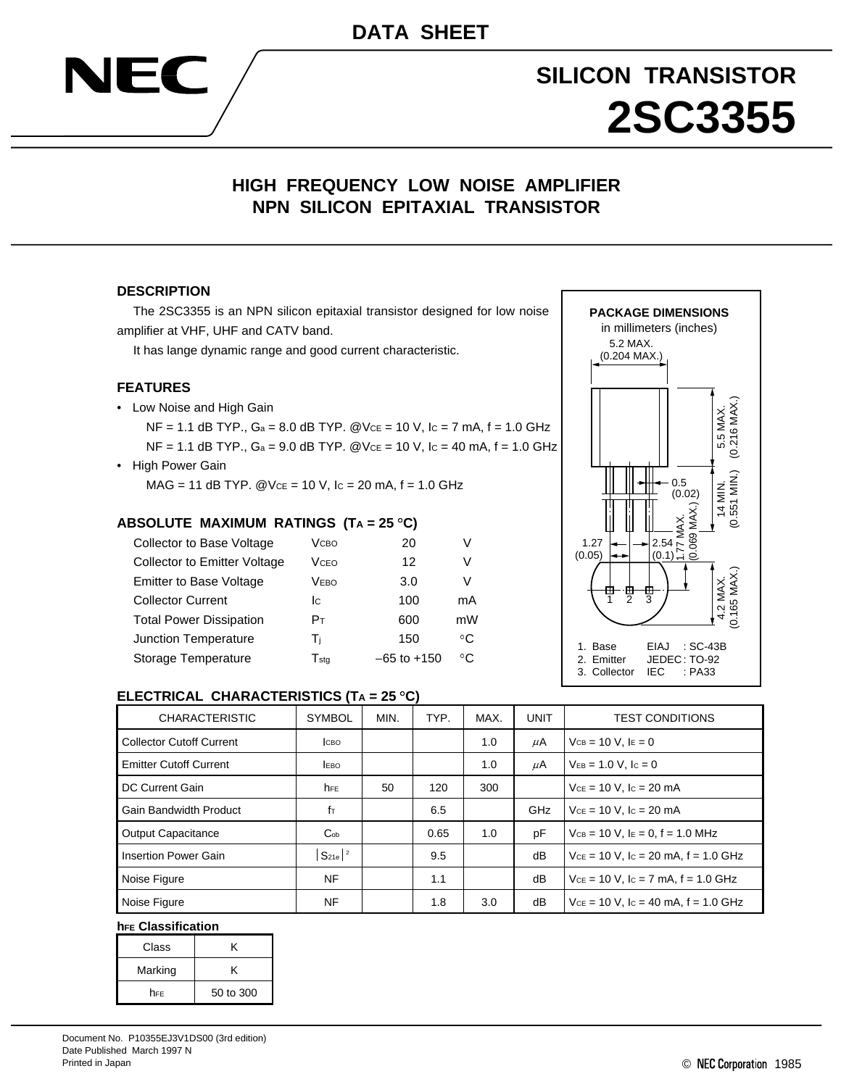# **SILICON TRANSISTOR 2SC3355**

# **HIGH FREQUENCY LOW NOISE AMPLIFIER NPN SILICON EPITAXIAL TRANSISTOR**

#### **DESCRIPTION**

NEC

The 2SC3355 is an NPN silicon epitaxial transistor designed for low noise amplifier at VHF, UHF and CATV band.

It has lange dynamic range and good current characteristic.

#### **FEATURES**

• Low Noise and High Gain

 $NF = 1.1$  dB TYP.,  $Ga = 8.0$  dB TYP.  $@Vce = 10$  V,  $lc = 7$  mA,  $f = 1.0$  GHz  $NF = 1.1$  dB TYP.,  $Ga = 9.0$  dB TYP.  $@Vce = 10$  V,  $lc = 40$  mA,  $f = 1.0$  GHz

• High Power Gain  $MAG = 11$  dB TYP.  $@VCE = 10$  V,  $lc = 20$  mA,  $f = 1.0$  GHz

#### **ABSOLUTE MAXIMUM RATINGS (TA = 25 C)**

| Collector to Base Voltage           | <b>V</b> сво                | 20              |    |
|-------------------------------------|-----------------------------|-----------------|----|
| <b>Collector to Emitter Voltage</b> | VcFo                        | 12              | V  |
| <b>Emitter to Base Voltage</b>      | Vево                        | 3.0             | v  |
| <b>Collector Current</b>            | lc.                         | 100             | mA |
| <b>Total Power Dissipation</b>      | Pт                          | 600             | mW |
| Junction Temperature                | Τi                          | 150             | °C |
| Storage Temperature                 | $\mathsf{T}_{\mathsf{sta}}$ | $-65$ to $+150$ | °C |



### **ELECTRICAL CHARACTERISTICS (TA = 25 C)**

| <b>CHARACTERISTIC</b>           | <b>SYMBOL</b>          | MIN. | TYP. | MAX. | UNIT       | <b>TEST CONDITIONS</b>                         |  |
|---------------------------------|------------------------|------|------|------|------------|------------------------------------------------|--|
| <b>Collector Cutoff Current</b> | <b>І</b> сво           |      |      | 1.0  | μA         | $VCB = 10 V. IE = 0$                           |  |
| <b>Emitter Cutoff Current</b>   | <b>EBO</b>             |      |      | 1.0  | μA         | $V_{EB} = 1.0 V, I_c = 0$                      |  |
| DC Current Gain                 | hFE                    | 50   | 120  | 300  |            | $Vce = 10 V$ , $lc = 20 mA$                    |  |
| <b>Gain Bandwidth Product</b>   | $f_{\text{T}}$         |      | 6.5  |      | <b>GHz</b> | $V_{CE} = 10 V$ , $I_C = 20 mA$                |  |
| <b>Output Capacitance</b>       | $C_{ob}$               |      | 0.65 | 1.0  | рF         | $V_{CB} = 10$ V, $I_E = 0$ , $f = 1.0$ MHz     |  |
| Insertion Power Gain            | $S_{21e}$ <sup>2</sup> |      | 9.5  |      | dB         | $V_{CE}$ = 10 V, lc = 20 mA, f = 1.0 GHz       |  |
| Noise Figure                    | NF                     |      | 1.1  |      | dB         | $V_{CE} = 10 V$ , $I_C = 7 mA$ , $f = 1.0 GHz$ |  |
| Noise Figure                    | NF                     |      | 1.8  | 3.0  | dB         | $V_{CE}$ = 10 V, lc = 40 mA, f = 1.0 GHz       |  |

#### **hFE Classification**

| Class   | ĸ         |
|---------|-----------|
| Marking | ĸ         |
| hfe     | 50 to 300 |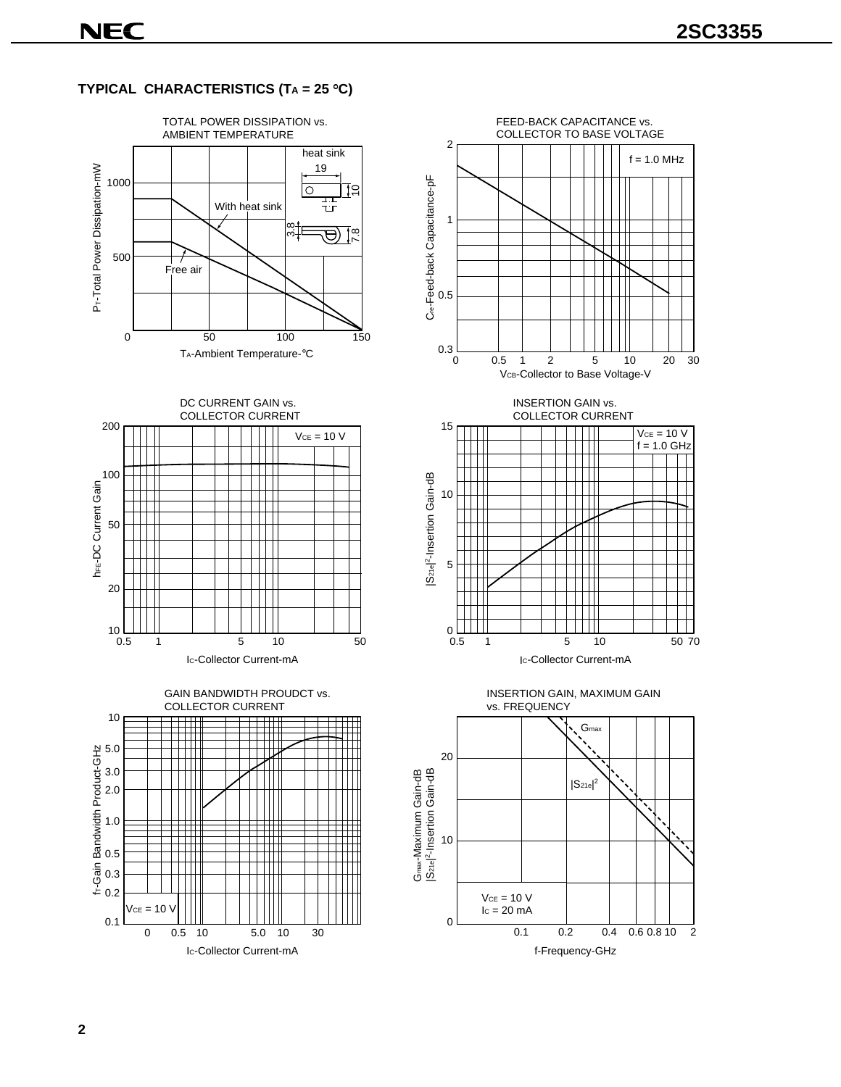# **TYPICAL CHARACTERISTICS (TA = 25 C)**





0.5 1 5 10 50











 $^{10}$   $^{10}$ <br>0.5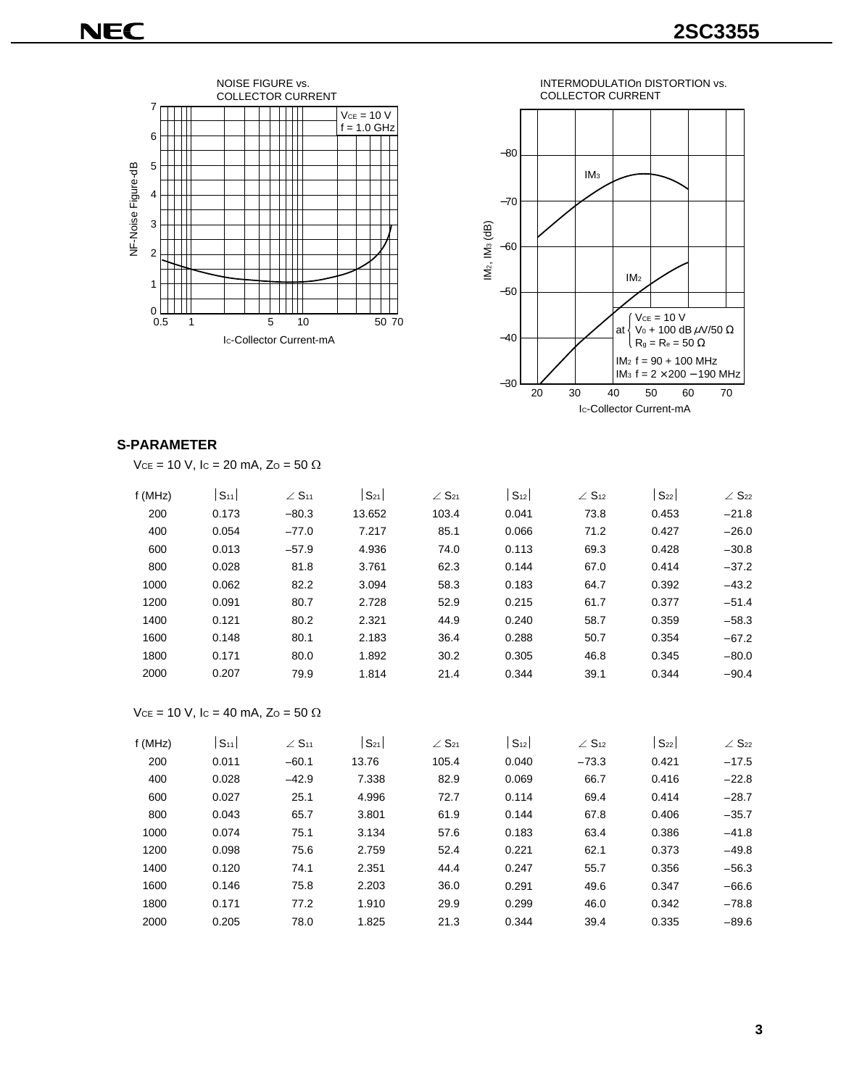



### **S-PARAMETER**

| f(MHz) | S <sub>11</sub> | $\angle$ S <sub>11</sub> | $S_{21}$ | $\angle$ S <sub>21</sub> | S <sub>12</sub> | $\angle$ S <sub>12</sub> | $S_{22}$ | $\angle$ S <sub>22</sub> |
|--------|-----------------|--------------------------|----------|--------------------------|-----------------|--------------------------|----------|--------------------------|
| 200    | 0.173           | $-80.3$                  | 13.652   | 103.4                    | 0.041           | 73.8                     | 0.453    | $-21.8$                  |
| 400    | 0.054           | $-77.0$                  | 7.217    | 85.1                     | 0.066           | 71.2                     | 0.427    | $-26.0$                  |
| 600    | 0.013           | $-57.9$                  | 4.936    | 74.0                     | 0.113           | 69.3                     | 0.428    | $-30.8$                  |
| 800    | 0.028           | 81.8                     | 3.761    | 62.3                     | 0.144           | 67.0                     | 0.414    | $-37.2$                  |
| 1000   | 0.062           | 82.2                     | 3.094    | 58.3                     | 0.183           | 64.7                     | 0.392    | $-43.2$                  |
| 1200   | 0.091           | 80.7                     | 2.728    | 52.9                     | 0.215           | 61.7                     | 0.377    | $-51.4$                  |
| 1400   | 0.121           | 80.2                     | 2.321    | 44.9                     | 0.240           | 58.7                     | 0.359    | $-58.3$                  |
| 1600   | 0.148           | 80.1                     | 2.183    | 36.4                     | 0.288           | 50.7                     | 0.354    | $-67.2$                  |
| 1800   | 0.171           | 80.0                     | 1.892    | 30.2                     | 0.305           | 46.8                     | 0.345    | $-80.0$                  |
| 2000   | 0.207           | 79.9                     | 1.814    | 21.4                     | 0.344           | 39.1                     | 0.344    | $-90.4$                  |

$$
Vce = 10 V
$$
,  $lc = 40 mA$ ,  $Zo = 50 \Omega$ 

| f (MHz) | S <sub>11</sub> | $\angle$ S <sub>11</sub> | $S_{21}$ | $\angle$ S <sub>21</sub> | S <sub>12</sub> | $\angle$ S <sub>12</sub> | $S_{22}$ | $\angle$ S <sub>22</sub> |
|---------|-----------------|--------------------------|----------|--------------------------|-----------------|--------------------------|----------|--------------------------|
| 200     | 0.011           | $-60.1$                  | 13.76    | 105.4                    | 0.040           | $-73.3$                  | 0.421    | $-17.5$                  |
| 400     | 0.028           | $-42.9$                  | 7.338    | 82.9                     | 0.069           | 66.7                     | 0.416    | $-22.8$                  |
| 600     | 0.027           | 25.1                     | 4.996    | 72.7                     | 0.114           | 69.4                     | 0.414    | $-28.7$                  |
| 800     | 0.043           | 65.7                     | 3.801    | 61.9                     | 0.144           | 67.8                     | 0.406    | $-35.7$                  |
| 1000    | 0.074           | 75.1                     | 3.134    | 57.6                     | 0.183           | 63.4                     | 0.386    | $-41.8$                  |
| 1200    | 0.098           | 75.6                     | 2.759    | 52.4                     | 0.221           | 62.1                     | 0.373    | $-49.8$                  |
| 1400    | 0.120           | 74.1                     | 2.351    | 44.4                     | 0.247           | 55.7                     | 0.356    | $-56.3$                  |
| 1600    | 0.146           | 75.8                     | 2.203    | 36.0                     | 0.291           | 49.6                     | 0.347    | $-66.6$                  |
| 1800    | 0.171           | 77.2                     | 1.910    | 29.9                     | 0.299           | 46.0                     | 0.342    | $-78.8$                  |
| 2000    | 0.205           | 78.0                     | 1.825    | 21.3                     | 0.344           | 39.4                     | 0.335    | $-89.6$                  |
|         |                 |                          |          |                          |                 |                          |          |                          |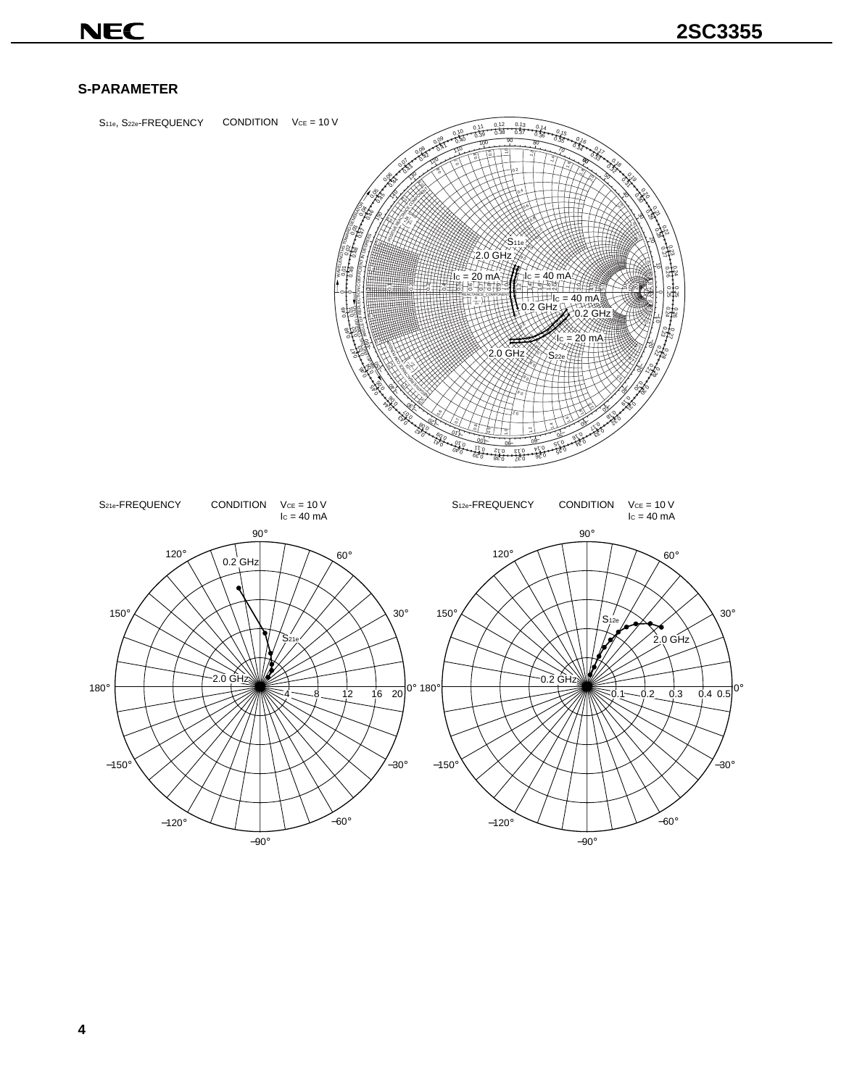# **NEC**

## **S-PARAMETER**

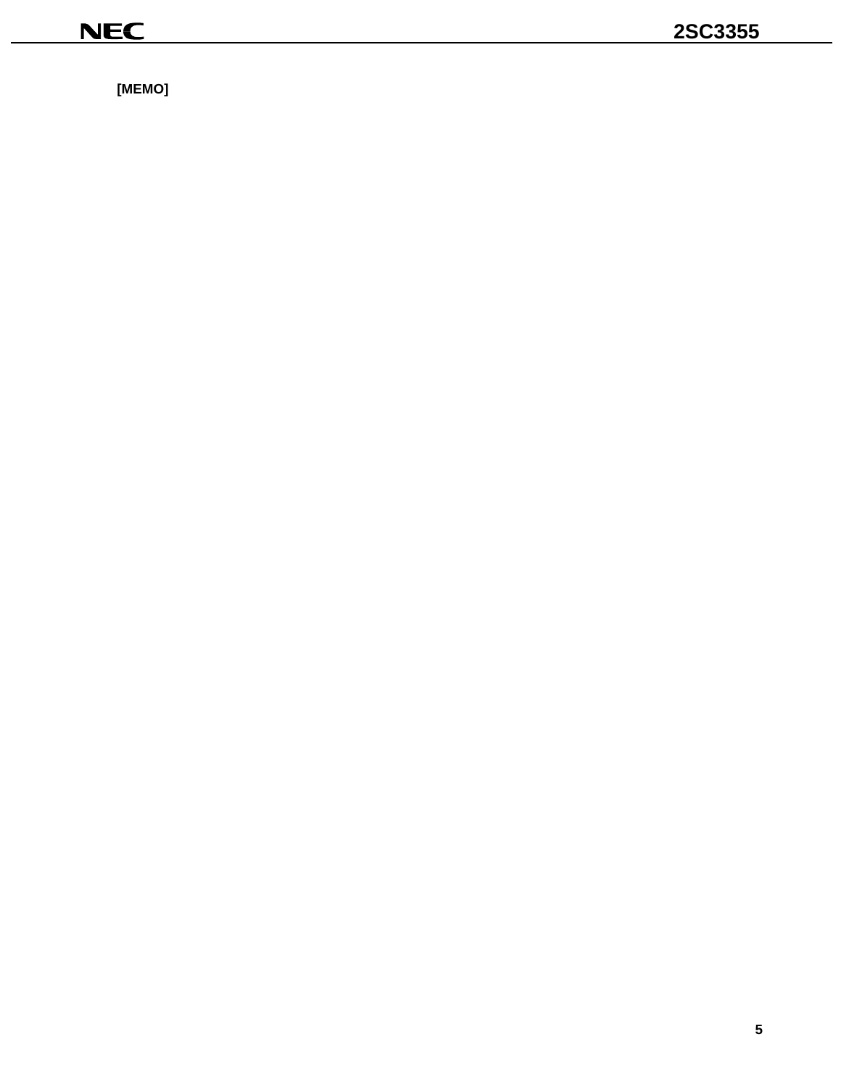$[MEMO]$ 

<u> 1980 - Jan James James Barbara, president e</u>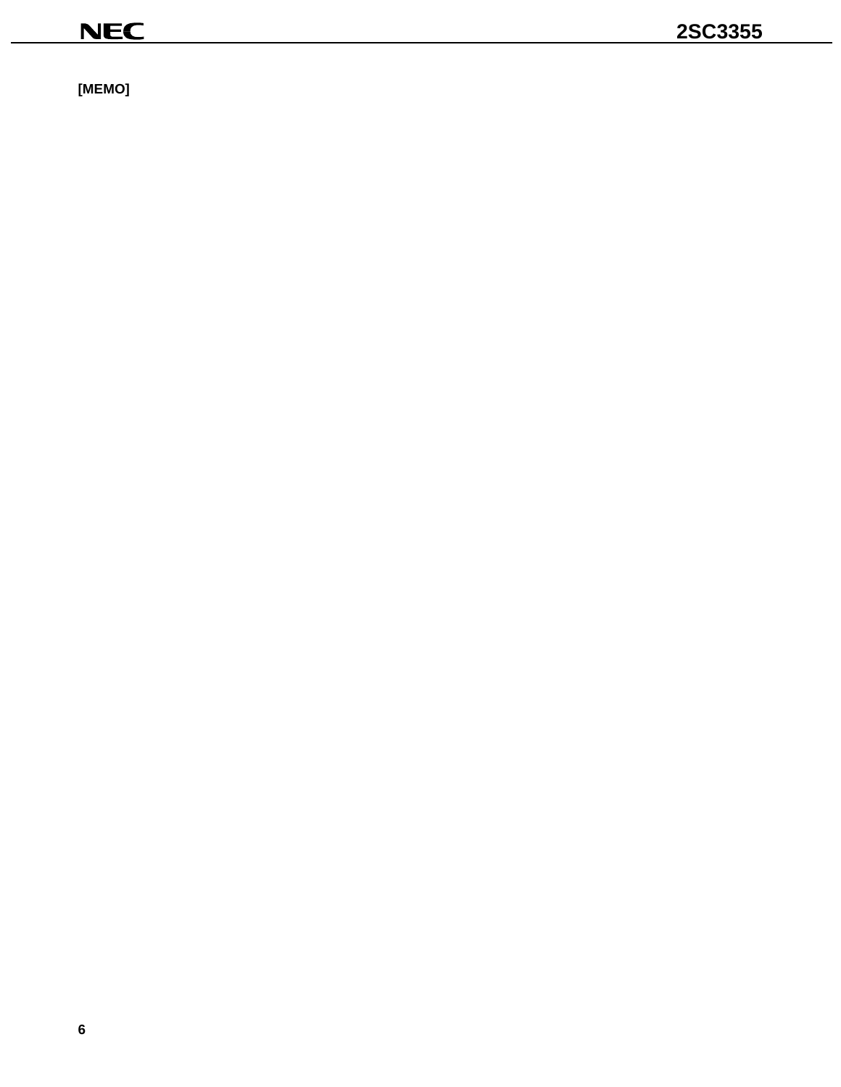$[MEMO]$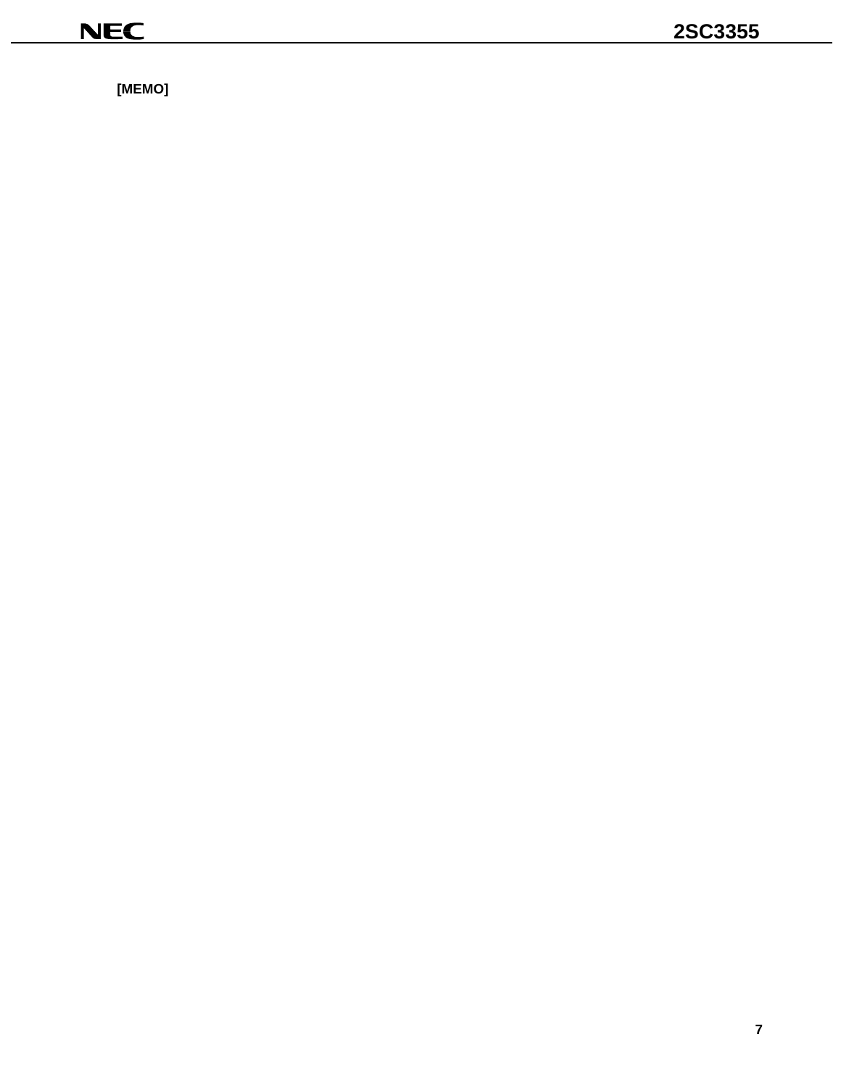$[MEMO]$